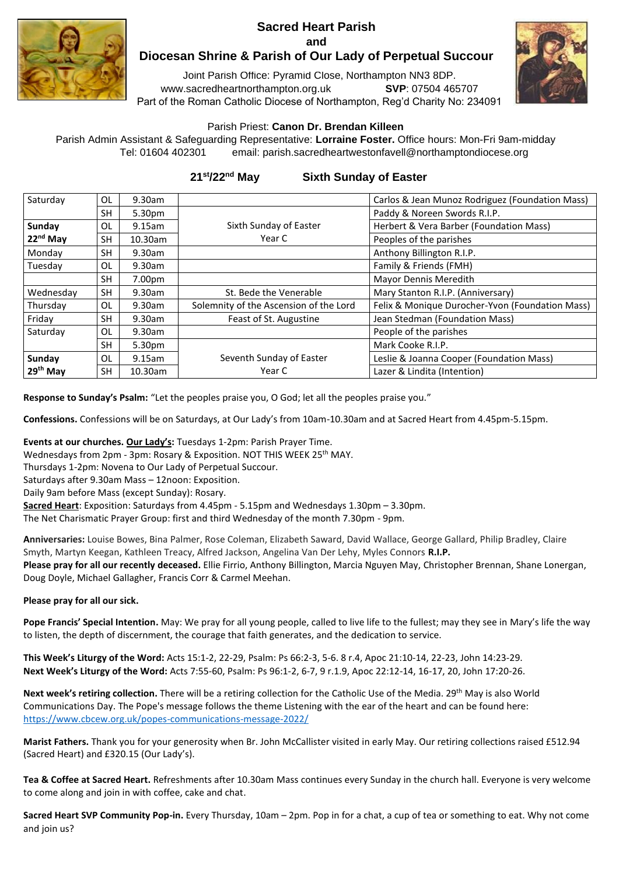## **Sacred Heart Parish and**



## **Diocesan Shrine & Parish of Our Lady of Perpetual Succour**

Joint Parish Office: Pyramid Close, Northampton NN3 8DP. www.sacredheartnorthampton.org.uk **SVP**: 07504 465707 Part of the Roman Catholic Diocese of Northampton, Reg'd Charity No: 234091



## Parish Priest: **Canon Dr. Brendan Killeen**

Parish Admin Assistant & Safeguarding Representative: **Lorraine Foster.** Office hours: Mon-Fri 9am-midday Tel: 01604 402301 email: parish.sacredheartwestonfavell@northamptondiocese.org

## **21st/22nd May Sixth Sunday of Easter**

| Saturday             | OL        | 9.30am  |                                        | Carlos & Jean Munoz Rodriguez (Foundation Mass) |
|----------------------|-----------|---------|----------------------------------------|-------------------------------------------------|
|                      | <b>SH</b> | 5.30pm  |                                        | Paddy & Noreen Swords R.I.P.                    |
| Sunday               | OL        | 9.15am  | Sixth Sunday of Easter                 | Herbert & Vera Barber (Foundation Mass)         |
| $22nd$ May           | SH        | 10.30am | Year C                                 | Peoples of the parishes                         |
| Monday               | <b>SH</b> | 9.30am  |                                        | Anthony Billington R.I.P.                       |
| Tuesday              | OL        | 9.30am  |                                        | Family & Friends (FMH)                          |
|                      | <b>SH</b> | 7.00pm  |                                        | Mayor Dennis Meredith                           |
| Wednesday            | <b>SH</b> | 9.30am  | St. Bede the Venerable                 | Mary Stanton R.I.P. (Anniversary)               |
| Thursday             | OL        | 9.30am  | Solemnity of the Ascension of the Lord | Felix & Monique Durocher-Yvon (Foundation Mass) |
| Friday               | <b>SH</b> | 9.30am  | Feast of St. Augustine                 | Jean Stedman (Foundation Mass)                  |
| Saturday             | OL        | 9.30am  |                                        | People of the parishes                          |
|                      | SH.       | 5.30pm  |                                        | Mark Cooke R.I.P.                               |
| Sundav               | OL        | 9.15am  | Seventh Sunday of Easter               | Leslie & Joanna Cooper (Foundation Mass)        |
| 29 <sup>th</sup> May | <b>SH</b> | 10.30am | Year C                                 | Lazer & Lindita (Intention)                     |

**Response to Sunday's Psalm:** "Let the peoples praise you, O God; let all the peoples praise you."

**Confessions.** Confessions will be on Saturdays, at Our Lady's from 10am-10.30am and at Sacred Heart from 4.45pm-5.15pm.

**Events at our churches. Our Lady's:** Tuesdays 1-2pm: Parish Prayer Time.

Wednesdays from 2pm - 3pm: Rosary & Exposition. NOT THIS WEEK 25<sup>th</sup> MAY.

Thursdays 1-2pm: Novena to Our Lady of Perpetual Succour.

Saturdays after 9.30am Mass – 12noon: Exposition.

Daily 9am before Mass (except Sunday): Rosary.

**Sacred Heart**: Exposition: Saturdays from 4.45pm - 5.15pm and Wednesdays 1.30pm – 3.30pm.

The Net Charismatic Prayer Group: first and third Wednesday of the month 7.30pm - 9pm.

**Anniversaries:** Louise Bowes, Bina Palmer, Rose Coleman, Elizabeth Saward, David Wallace, George Gallard, Philip Bradley, Claire Smyth, Martyn Keegan, Kathleen Treacy, Alfred Jackson, Angelina Van Der Lehy, Myles Connors **R.I.P.**

**Please pray for all our recently deceased.** Ellie Firrio, Anthony Billington, Marcia Nguyen May, Christopher Brennan, Shane Lonergan, Doug Doyle, Michael Gallagher, Francis Corr & Carmel Meehan.

**Please pray for all our sick.**

**Pope Francis' Special Intention.** May: We pray for all young people, called to live life to the fullest; may they see in Mary's life the way to listen, the depth of discernment, the courage that faith generates, and the dedication to service.

**This Week's Liturgy of the Word:** Acts 15:1-2, 22-29, Psalm: Ps 66:2-3, 5-6. 8 r.4, Apoc 21:10-14, 22-23, John 14:23-29. **Next Week's Liturgy of the Word:** Acts 7:55-60, Psalm: Ps 96:1-2, 6-7, 9 r.1.9, Apoc 22:12-14, 16-17, 20, John 17:20-26.

**Next week's retiring collection.** There will be a retiring collection for the Catholic Use of the Media. 29th May is also World Communications Day. The Pope's message follows the theme Listening with the ear of the heart and can be found here: <https://www.cbcew.org.uk/popes-communications-message-2022/>

**Marist Fathers.** Thank you for your generosity when Br. John McCallister visited in early May. Our retiring collections raised £512.94 (Sacred Heart) and £320.15 (Our Lady's).

**Tea & Coffee at Sacred Heart.** Refreshments after 10.30am Mass continues every Sunday in the church hall. Everyone is very welcome to come along and join in with coffee, cake and chat.

**Sacred Heart SVP Community Pop-in.** Every Thursday, 10am – 2pm. Pop in for a chat, a cup of tea or something to eat. Why not come and join us?